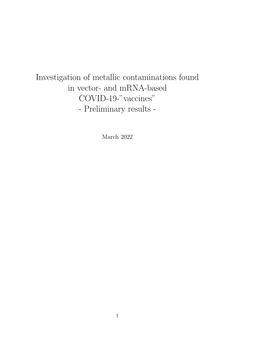# Investigation of metallic contaminations found in vector- and mRNA-based COVID-19-"vaccines" - Preliminary results -

March 2022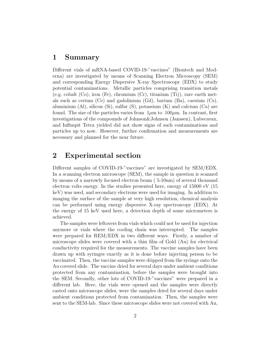## 1 Summary

Different vials of mRNA-based COVID-19-"vaccines" (Biontech and Moderna) are investigated by means of Scanning Electron Microscopy (SEM) and corresponding Energy Dispersive X-ray Spectroscopy (EDX) to study potential contaminations. Metallic particles comprising transition metals (e.g. cobalt  $(Co)$ , iron  $(Fe)$ , chromium  $(Cr)$ , titanium  $(Ti)$ ), rare earth metals such as cerium (Ce) and gadolinium (Gd), barium (Ba), caesium (Cs), aluminium (Al), silicon (Si), sulfur (S), potassium  $(K)$  and calcium  $(Ca)$  are found. The size of the particles varies from  $1\mu$ m to  $100\mu$ m. In contrast, first investigations of the compounds of Johnson&Johnson (Janssen), Lubecavax, and Influspit Tetra yielded did not show signs of such contaminations and particles up to now. However, further confirmation and measurements are necessary and planned for the near future.

## 2 Experimental section

Different samples of COVID-19-"vaccines" are investigated by SEM/EDX. In a scanning electron microscope (SEM), the sample in question is scanned by means of a narrowly focused electron beam ( 5-10nm) of several thousand electron volts energy. In the studies presented here, energy of 15000 eV (15 keV) was used, and secondary electrons were used for imaging. In addition to imaging the surface of the sample at very high resolution, chemical analysis can be performed using energy dispersive X-ray spectroscopy (EDX). At the energy of 15 keV used here, a detection depth of some micrometers is achieved.

The samples were leftovers from vials which could not be used for injection anymore or vials where the cooling chain was interrupted. The samples were prepared for REM/EDX in two different ways. Firstly, a number of microscope slides were covered with a thin film of Gold (Au) for electrical conductivity required for the measurements. The vaccine samples have been drawn up with syringes exactly as it is done before injecting person to be vaccinated. Then, the vaccine samples were dripped from the syringe onto the Au covered slide. The vaccine dried for several days under ambient conditions protected from any contamination, before the samples were brought into the SEM. Secondly, other lots of COVID-19-"vaccines" were prepared in a different lab. Here, the vials were opened and the samples were directly casted onto microscope slides, were the samples dried for several days under ambient conditions protected from contamination. Then, the samples were sent to the SEM-lab. Since these microscope slides were not covered with Au,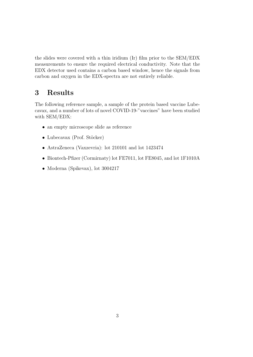the slides were covered with a thin iridium (Ir) film prior to the SEM/EDX measurements to ensure the required electrical conductivity. Note that the EDX detector used contains a carbon based window, hence the signals from carbon and oxygen in the EDX-spectra are not entirely reliable.

# 3 Results

The following reference sample, a sample of the protein based vaccine Lubecavax, and a number of lots of novel COVID-19-"vaccines" have been studied with SEM/EDX:

- an empty microscope slide as reference
- Lubecavax (Prof. Stöcker)
- AstraZeneca (Vaxzevria): lot 210101 and lot 1423474
- Biontech-Pfizer (Cormirnaty) lot FE7011, lot FE8045, and lot 1F1010A
- Moderna (Spikevax), lot 3004217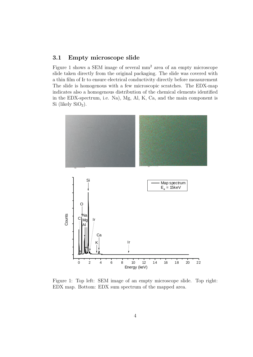#### 3.1 Empty microscope slide

Figure 1 shows a SEM image of several mm<sup>2</sup> area of an empty microscope slide taken directly from the original packaging. The slide was covered with a thin film of Ir to ensure electrical conductivity directly before measurement The slide is homogenous with a few microscopic scratches. The EDX-map indicates also a homogenous distribution of the chemical elements identified in the EDX-spectrum, i.e. Na), Mg, Al, K, Ca, and the main component is Si (likely  $SiO<sub>2</sub>$ ).



Figure 1: Top left: SEM image of an empty microscope slide. Top right: EDX map. Bottom: EDX sum spectrum of the mapped area.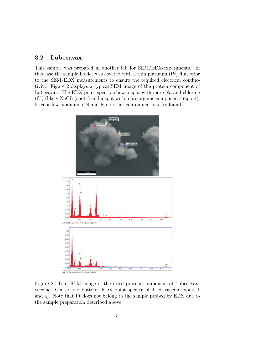#### 3.2 Lubecavax

This sample was prepared in another lab for SEM/EDX-experiments. In this case the sample holder was covered with a thin platinum (Pt) film prior to the SEM/EDX measurements to ensure the required electrical conductivity. Figure 2 displays a typical SEM image of the protein component of Lubecavax. The EDX-point spectra show a spot with more Na and chlorine (Cl) (likely NaCl) (spot1) and a spot with more organic components (spot4), Except low amounts of S and K no other contaminations are found.



Figure 2: Top: SEM image of the dried protein component of Lubecavaxvaccine. Center and bottom: EDX point spectra of dried vaccine (spots 1 and 4). Note that Pt does not belong to the sample probed by EDX due to the sample preparation described above.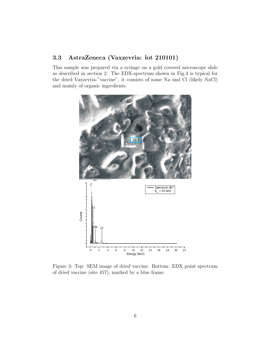#### 3.3 AstraZeneca (Vaxzevria: lot 210101)

This sample was prepared via a syringe on a gold covered microscope slide as described in section 2. The EDX-spectrum shown in Fig.3 is typical for the dried Vaxzevria-"vaccine", it consists of some Na und Cl (likely NaCl) and mainly of organic ingredients.



Figure 3: Top: SEM image of dried vaccine. Bottom: EDX point spectrum of dried vaccine (site 457), marked by a blue frame.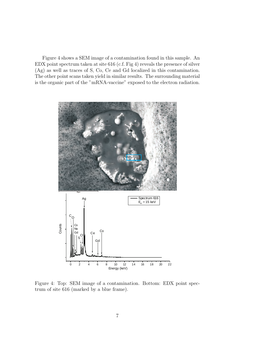Figure 4 shows a SEM image of a contamination found in this sample. An EDX point spectrum taken at site 616 (c.f. Fig 4) reveals the presence of silver (Ag) as well as traces of S, Co, Ce and Gd localized in this contamination. The other point scans taken yield in similar results. The surrounding material is the organic part of the "mRNA-vaccine" exposed to the electron radiation.



Figure 4: Top: SEM image of a contamination. Bottom: EDX point spectrum of site 616 (marked by a blue frame).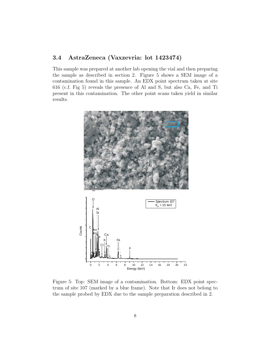#### 3.4 AstraZeneca (Vaxzevria: lot 1423474)

This sample was prepared at another lab opening the vial and then preparing the sample as described in section 2. Figure 5 shows a SEM image of a contamination found in this sample. An EDX point spectrum taken at site 616 (c.f. Fig 5) reveals the presence of Al and S, but also Ca, Fe, and Ti present in this contamination. The other point scans taken yield in similar results.



Figure 5: Top: SEM image of a contamination. Bottom: EDX point spectrum of site 107 (marked by a blue frame). Note that Ir does not belong to the sample probed by EDX due to the sample preparation described in 2.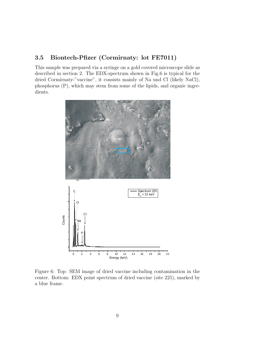### 3.5 Biontech-Pfizer (Cormirnaty: lot FE7011)

This sample was prepared via a syringe on a gold covered microscope slide as described in section 2. The EDX-spectrum shown in Fig.6 is typical for the dried Cormirnaty-"vaccine", it consists mainly of Na und Cl (likely NaCl), phosphorus (P), which may stem from some of the lipids, and organic ingredients.



Figure 6: Top: SEM image of dried vaccine including contamination in the center. Bottom: EDX point spectrum of dried vaccine (site 225), marked by a blue frame.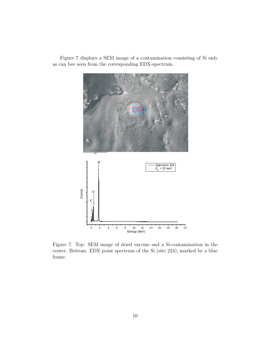

Figure 7 displays a SEM image of a contamination consisting of Si only as can bee seen from the corresponding EDX-spectrum.

Figure 7: Top: SEM image of dried vaccine and a Si-contamination in the center. Bottom: EDX point spectrum of the Si (site 224), marked by a blue frame.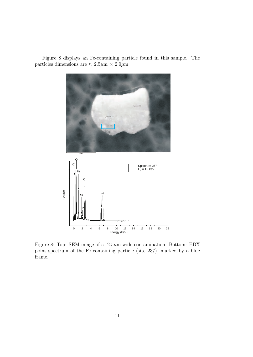

Figure 8 displays an Fe-containing particle found in this sample. The particles dimensions are  $\approx 2.5 \mu m \times 2.0 \mu m$ 

Figure 8: Top: SEM image of a  $2.5\mu$ m wide contamination. Bottom: EDX point spectrum of the Fe containing particle (site 237), marked by a blue frame.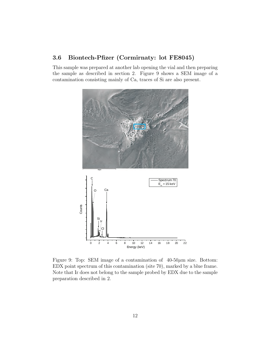#### 3.6 Biontech-Pfizer (Cormirnaty: lot FE8045)

This sample was prepared at another lab opening the vial and then preparing the sample as described in section 2. Figure 9 shows a SEM image of a contamination consisting mainly of Ca, traces of Si are also present.



Figure 9: Top: SEM image of a contamination of  $40-50\mu$ m size. Bottom: EDX point spectrum of this contamination (site 70), marked by a blue frame. Note that Ir does not belong to the sample probed by EDX due to the sample preparation described in 2.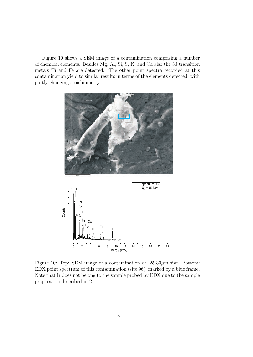Figure 10 shows a SEM image of a contamination comprising a number of chemical elements. Besides Mg, Al, Si, S, K, and Ca also the 3d transition metals Ti and Fe are detected. The other point spectra recorded at this contamination yield to similar results in terms of the elements detected, with partly changing stoichiometry.



Figure 10: Top: SEM image of a contamination of  $25{\text -}30\mu$ m size. Bottom: EDX point spectrum of this contamination (site 96), marked by a blue frame. Note that Ir does not belong to the sample probed by EDX due to the sample preparation described in 2.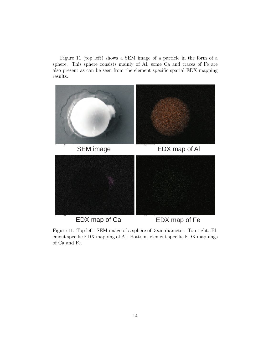Figure 11 (top left) shows a SEM image of a particle in the form of a sphere. This sphere consists mainly of Al, some Ca and traces of Fe are also present as can be seen from the element specific spatial EDX mapping results.



EDX map of Ca EDX map of Fe

Figure 11: Top left: SEM image of a sphere of  $3\mu$ m diameter. Top right: Element specific EDX mapping of Al. Bottom: element specific EDX mappings of Ca and Fe.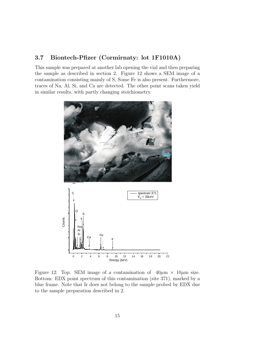#### 3.7 Biontech-Pfizer (Cormirnaty: lot 1F1010A)

This sample was prepared at another lab opening the vial and then preparing the sample as described in section 2. Figure 12 shows a SEM image of a contamination consisting mainly of S, Some Fe is also present. Furthermore, traces of Na, Al, Si, and Ca are detected. The other point scans taken yield in similar results, with partly changing stoichiometry.



Figure 12: Top: SEM image of a contamination of  $40\mu m \times 10\mu m$  size. Bottom: EDX point spectrum of this contamination (site 371), marked by a blue frame. Note that Ir does not belong to the sample probed by EDX due to the sample preparation described in 2.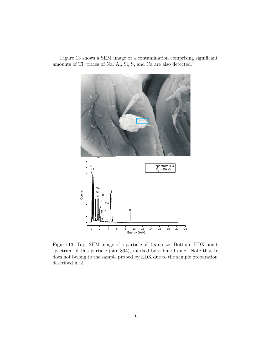

Figure 13 shows a SEM image of a contamination comprising significant amounts of Ti, traces of Na, Al, Si, S, and Ca are also detected.

Figure 13: Top: SEM image of a particle of 5µm size. Bottom: EDX point spectrum of this particle (site 394), marked by a blue frame. Note that Ir does not belong to the sample probed by EDX due to the sample preparation described in 2.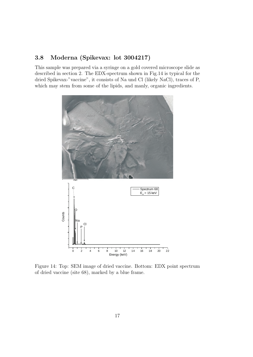### 3.8 Moderna (Spikevax: lot 3004217)

This sample was prepared via a syringe on a gold covered microscope slide as described in section 2. The EDX-spectrum shown in Fig.14 is typical for the dried Spikevax-"vaccine", it consists of Na und Cl (likely NaCl), traces of P, which may stem from some of the lipids, and manly, organic ingredients.



Figure 14: Top: SEM image of dried vaccine. Bottom: EDX point spectrum of dried vaccine (site 68), marked by a blue frame.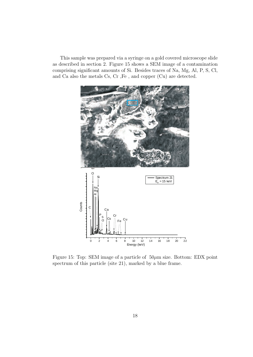This sample was prepared via a syringe on a gold covered microscope slide as described in section 2. Figure 15 shows a SEM image of a contamination comprising significant amounts of Si. Besides traces of Na, Mg, Al, P, S, Cl, and Ca also the metals Cs, Cr ,Fe , and copper (Cu) are detected.



Figure 15: Top: SEM image of a particle of  $50\mu$ m size. Bottom: EDX point spectrum of this particle (site 21), marked by a blue frame.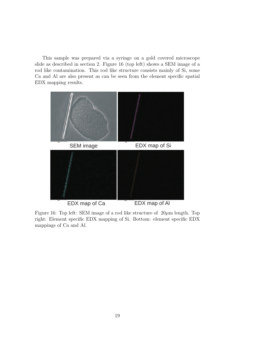This sample was prepared via a syringe on a gold covered microscope slide as described in section 2. Figure 16 (top left) shows a SEM image of a rod like contamination. This rod like structure consists mainly of Si, some Ca and Al are also present as can be seen from the element specific spatial EDX mapping results.



Figure 16: Top left: SEM image of a rod like structure of  $20\mu$ m length. Top right: Element specific EDX mapping of Si. Bottom: element specific EDX mappings of Ca and Al.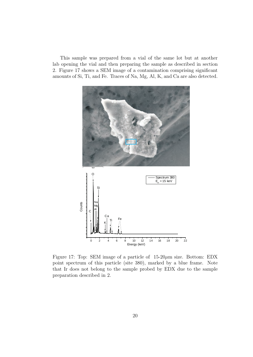This sample was prepared from a vial of the same lot but at another lab opening the vial and then preparing the sample as described in section 2. Figure 17 shows a SEM image of a contamination comprising significant amounts of Si, Ti, and Fe. Traces of Na, Mg, Al, K, and Ca are also detected.



Figure 17: Top: SEM image of a particle of  $15{\text -}20\mu$ m size. Bottom: EDX point spectrum of this particle (site 380), marked by a blue frame. Note that Ir does not belong to the sample probed by EDX due to the sample preparation described in 2.